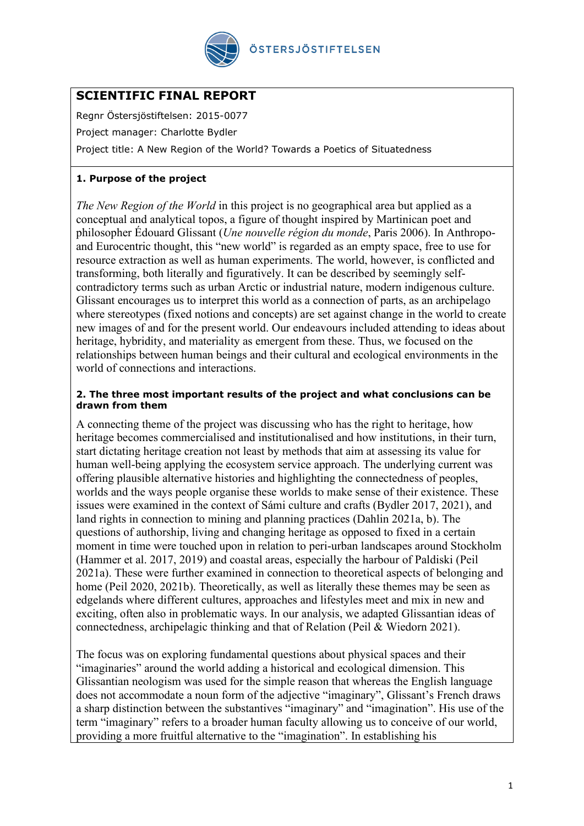

# **SCIENTIFIC FINAL REPORT**

Regnr Östersjöstiftelsen: 2015-0077

Project manager: Charlotte Bydler

Project title: A New Region of the World? Towards a Poetics of Situatedness

## **1. Purpose of the project**

*The New Region of the World* in this project is no geographical area but applied as a conceptual and analytical topos, a figure of thought inspired by Martinican poet and philosopher Édouard Glissant (*Une nouvelle région du monde*, Paris 2006). In Anthropoand Eurocentric thought, this "new world" is regarded as an empty space, free to use for resource extraction as well as human experiments. The world, however, is conflicted and transforming, both literally and figuratively. It can be described by seemingly selfcontradictory terms such as urban Arctic or industrial nature, modern indigenous culture. Glissant encourages us to interpret this world as a connection of parts, as an archipelago where stereotypes (fixed notions and concepts) are set against change in the world to create new images of and for the present world. Our endeavours included attending to ideas about heritage, hybridity, and materiality as emergent from these. Thus, we focused on the relationships between human beings and their cultural and ecological environments in the world of connections and interactions.

#### **2. The three most important results of the project and what conclusions can be drawn from them**

A connecting theme of the project was discussing who has the right to heritage, how heritage becomes commercialised and institutionalised and how institutions, in their turn, start dictating heritage creation not least by methods that aim at assessing its value for human well-being applying the ecosystem service approach. The underlying current was offering plausible alternative histories and highlighting the connectedness of peoples, worlds and the ways people organise these worlds to make sense of their existence. These issues were examined in the context of Sámi culture and crafts (Bydler 2017, 2021), and land rights in connection to mining and planning practices (Dahlin 2021a, b). The questions of authorship, living and changing heritage as opposed to fixed in a certain moment in time were touched upon in relation to peri-urban landscapes around Stockholm (Hammer et al. 2017, 2019) and coastal areas, especially the harbour of Paldiski (Peil 2021a). These were further examined in connection to theoretical aspects of belonging and home (Peil 2020, 2021b). Theoretically, as well as literally these themes may be seen as edgelands where different cultures, approaches and lifestyles meet and mix in new and exciting, often also in problematic ways. In our analysis, we adapted Glissantian ideas of connectedness, archipelagic thinking and that of Relation (Peil & Wiedorn 2021).

The focus was on exploring fundamental questions about physical spaces and their "imaginaries" around the world adding a historical and ecological dimension. This Glissantian neologism was used for the simple reason that whereas the English language does not accommodate a noun form of the adjective "imaginary", Glissant's French draws a sharp distinction between the substantives "imaginary" and "imagination". His use of the term "imaginary" refers to a broader human faculty allowing us to conceive of our world, providing a more fruitful alternative to the "imagination". In establishing his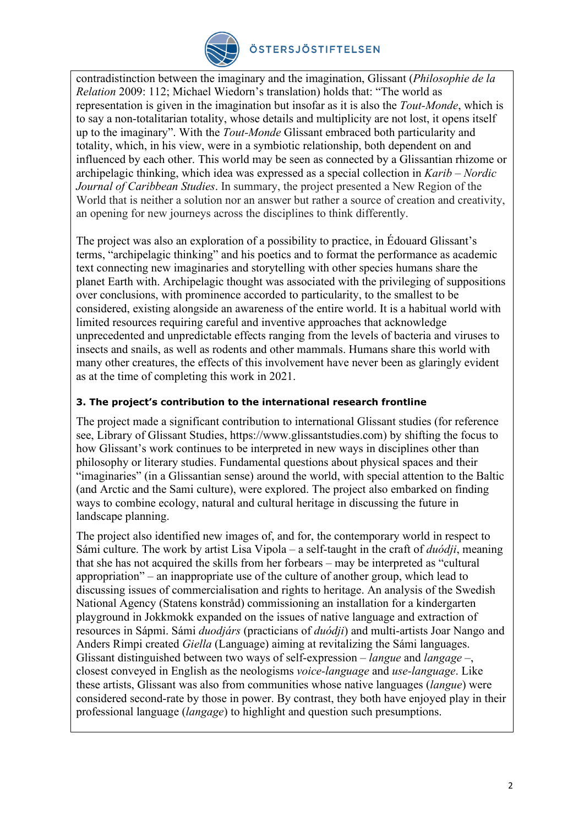

## ÖSTERSJÖSTIFTELSEN

contradistinction between the imaginary and the imagination, Glissant (*Philosophie de la Relation* 2009: 112; Michael Wiedorn's translation) holds that: "The world as representation is given in the imagination but insofar as it is also the *Tout-Monde*, which is to say a non-totalitarian totality, whose details and multiplicity are not lost, it opens itself up to the imaginary". With the *Tout-Monde* Glissant embraced both particularity and totality, which, in his view, were in a symbiotic relationship, both dependent on and influenced by each other. This world may be seen as connected by a Glissantian rhizome or archipelagic thinking, which idea was expressed as a special collection in *Karib – Nordic Journal of Caribbean Studies*. In summary, the project presented a New Region of the World that is neither a solution nor an answer but rather a source of creation and creativity, an opening for new journeys across the disciplines to think differently.

The project was also an exploration of a possibility to practice, in Édouard Glissant's terms, "archipelagic thinking" and his poetics and to format the performance as academic text connecting new imaginaries and storytelling with other species humans share the planet Earth with. Archipelagic thought was associated with the privileging of suppositions over conclusions, with prominence accorded to particularity, to the smallest to be considered, existing alongside an awareness of the entire world. It is a habitual world with limited resources requiring careful and inventive approaches that acknowledge unprecedented and unpredictable effects ranging from the levels of bacteria and viruses to insects and snails, as well as rodents and other mammals. Humans share this world with many other creatures, the effects of this involvement have never been as glaringly evident as at the time of completing this work in 2021.

## **3. The project's contribution to the international research frontline**

The project made a significant contribution to international Glissant studies (for reference see, Library of Glissant Studies, https://www.glissantstudies.com) by shifting the focus to how Glissant's work continues to be interpreted in new ways in disciplines other than philosophy or literary studies. Fundamental questions about physical spaces and their "imaginaries" (in a Glissantian sense) around the world, with special attention to the Baltic (and Arctic and the Sami culture), were explored. The project also embarked on finding ways to combine ecology, natural and cultural heritage in discussing the future in landscape planning.

The project also identified new images of, and for, the contemporary world in respect to Sámi culture. The work by artist Lisa Vipola – a self-taught in the craft of *duódji*, meaning that she has not acquired the skills from her forbears – may be interpreted as "cultural appropriation" – an inappropriate use of the culture of another group, which lead to discussing issues of commercialisation and rights to heritage. An analysis of the Swedish National Agency (Statens konstråd) commissioning an installation for a kindergarten playground in Jokkmokk expanded on the issues of native language and extraction of resources in Sápmi. Sámi *duodjárs* (practicians of *duódji*) and multi-artists Joar Nango and Anders Rimpi created *Giella* (Language) aiming at revitalizing the Sámi languages. Glissant distinguished between two ways of self-expression – *langue* and *langage* –, closest conveyed in English as the neologisms *voice-language* and *use-language*. Like these artists, Glissant was also from communities whose native languages (*langue*) were considered second-rate by those in power. By contrast, they both have enjoyed play in their professional language (*langage*) to highlight and question such presumptions.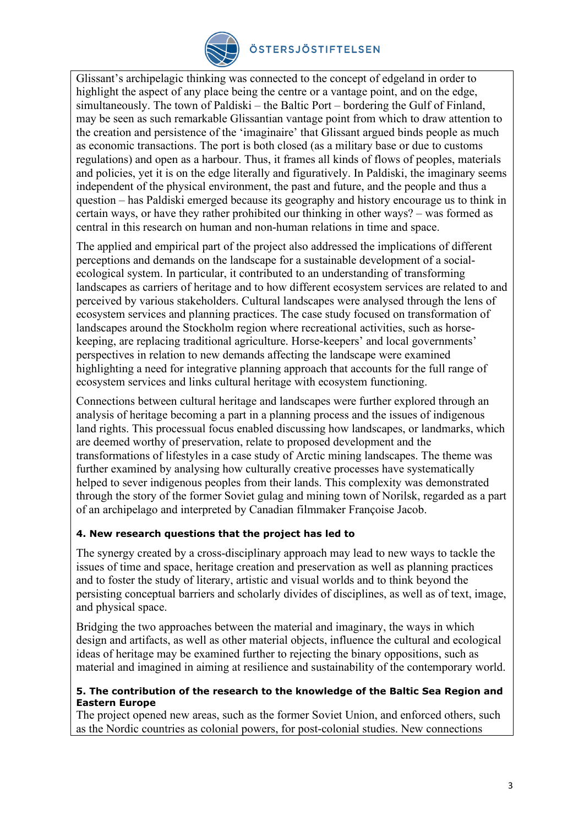

## ÖSTERSJÖSTIFTELSEN

Glissant's archipelagic thinking was connected to the concept of edgeland in order to highlight the aspect of any place being the centre or a vantage point, and on the edge, simultaneously. The town of Paldiski – the Baltic Port – bordering the Gulf of Finland, may be seen as such remarkable Glissantian vantage point from which to draw attention to the creation and persistence of the 'imaginaire' that Glissant argued binds people as much as economic transactions. The port is both closed (as a military base or due to customs regulations) and open as a harbour. Thus, it frames all kinds of flows of peoples, materials and policies, yet it is on the edge literally and figuratively. In Paldiski, the imaginary seems independent of the physical environment, the past and future, and the people and thus a question – has Paldiski emerged because its geography and history encourage us to think in certain ways, or have they rather prohibited our thinking in other ways? – was formed as central in this research on human and non-human relations in time and space.

The applied and empirical part of the project also addressed the implications of different perceptions and demands on the landscape for a sustainable development of a socialecological system. In particular, it contributed to an understanding of transforming landscapes as carriers of heritage and to how different ecosystem services are related to and perceived by various stakeholders. Cultural landscapes were analysed through the lens of ecosystem services and planning practices. The case study focused on transformation of landscapes around the Stockholm region where recreational activities, such as horsekeeping, are replacing traditional agriculture. Horse-keepers' and local governments' perspectives in relation to new demands affecting the landscape were examined highlighting a need for integrative planning approach that accounts for the full range of ecosystem services and links cultural heritage with ecosystem functioning.

Connections between cultural heritage and landscapes were further explored through an analysis of heritage becoming a part in a planning process and the issues of indigenous land rights. This processual focus enabled discussing how landscapes, or landmarks, which are deemed worthy of preservation, relate to proposed development and the transformations of lifestyles in a case study of Arctic mining landscapes. The theme was further examined by analysing how culturally creative processes have systematically helped to sever indigenous peoples from their lands. This complexity was demonstrated through the story of the former Soviet gulag and mining town of Norilsk, regarded as a part of an archipelago and interpreted by Canadian filmmaker Françoise Jacob.

## **4. New research questions that the project has led to**

The synergy created by a cross-disciplinary approach may lead to new ways to tackle the issues of time and space, heritage creation and preservation as well as planning practices and to foster the study of literary, artistic and visual worlds and to think beyond the persisting conceptual barriers and scholarly divides of disciplines, as well as of text, image, and physical space.

Bridging the two approaches between the material and imaginary, the ways in which design and artifacts, as well as other material objects, influence the cultural and ecological ideas of heritage may be examined further to rejecting the binary oppositions, such as material and imagined in aiming at resilience and sustainability of the contemporary world.

#### **5. The contribution of the research to the knowledge of the Baltic Sea Region and Eastern Europe**

The project opened new areas, such as the former Soviet Union, and enforced others, such as the Nordic countries as colonial powers, for post-colonial studies. New connections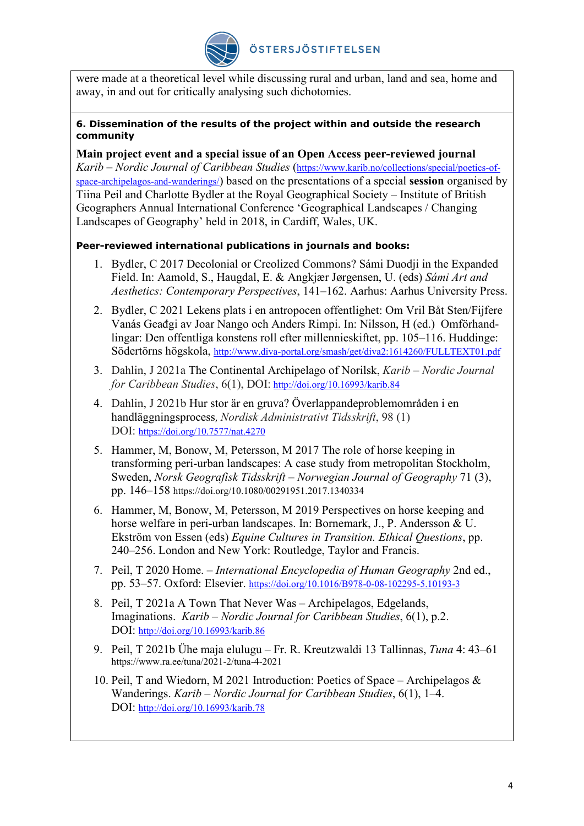

were made at a theoretical level while discussing rural and urban, land and sea, home and away, in and out for critically analysing such dichotomies.

#### **6. Dissemination of the results of the project within and outside the research community**

**Main project event and a special issue of an Open Access peer-reviewed journal** *Karib – Nordic Journal of Caribbean Studies* [\(https://www.karib.no/collections/special/poetics-of](https://www.karib.no/collections/special/poetics-of-space-archipelagos-and-wanderings/)[space-archipelagos-and-wanderings/\)](https://www.karib.no/collections/special/poetics-of-space-archipelagos-and-wanderings/) based on the presentations of a special **session** organised by Tiina Peil and Charlotte Bydler at the Royal Geographical Society – Institute of British Geographers Annual International Conference 'Geographical Landscapes / Changing Landscapes of Geography' held in 2018, in Cardiff, Wales, UK.

## **Peer-reviewed international publications in journals and books:**

- 1. Bydler, C 2017 Decolonial or Creolized Commons? Sámi Duodji in the Expanded Field. In: Aamold, S., Haugdal, E. & Angkjær Jørgensen, U. (eds) *Sámi Art and Aesthetics: Contemporary Perspectives*, 141–162. Aarhus: Aarhus University Press.
- 2. Bydler, C 2021 Lekens plats i en antropocen offentlighet: Om Vril Båt Sten/Fijfere Vanás Geađgi av Joar Nango och Anders Rimpi. In: Nilsson, H (ed.) Omförhandlingar: Den offentliga konstens roll efter millennieskiftet, pp. 105–116. Huddinge: Södertörns högskola,<http://www.diva-portal.org/smash/get/diva2:1614260/FULLTEXT01.pdf>
- 3. Dahlin, J 2021a The Continental Archipelago of Norilsk, *Karib – Nordic Journal for Caribbean Studies*, 6(1), DOI: <http://doi.org/10.16993/karib.84>
- 4. Dahlin, J 2021b Hur stor är en gruva? Överlappandeproblemområden i en handläggningsprocess, *Nordisk Administrativt Tidsskrift*, 98 (1) DOI: <https://doi.org/10.7577/nat.4270>
- 5. Hammer, M, Bonow, M, Petersson, M 2017 The role of horse keeping in transforming peri-urban landscapes: A case study from metropolitan Stockholm, Sweden, *Norsk Geografisk Tidsskrift – Norwegian Journal of Geography* 71 (3), pp. 146–158 https://doi.org/10.1080/00291951.2017.1340334
- 6. Hammer, M, Bonow, M, Petersson, M 2019 Perspectives on horse keeping and horse welfare in peri-urban landscapes. In: Bornemark, J., P. Andersson & U. Ekström von Essen (eds) *Equine Cultures in Transition. Ethical Questions*, pp. 240–256. London and New York: Routledge, Taylor and Francis.
- 7. Peil, T 2020 Home. *International Encyclopedia of Human Geography* 2nd ed., pp. 53–57. Oxford: Elsevier. <https://doi.org/10.1016/B978-0-08-102295-5.10193-3>
- 8. Peil, T 2021a A Town That Never Was Archipelagos, Edgelands, Imaginations. *Karib – Nordic Journal for Caribbean Studies*, 6(1), p.2. DOI: <http://doi.org/10.16993/karib.86>
- 9. Peil, T 2021b Ühe maja elulugu Fr. R. Kreutzwaldi 13 Tallinnas, *Tuna* 4: 43–61 https://www.ra.ee/tuna/2021-2/tuna-4-2021
- 10. Peil, T and Wiedorn, M 2021 Introduction: Poetics of Space Archipelagos & Wanderings. *Karib – Nordic Journal for Caribbean Studies*, 6(1), 1–4. DOI: <http://doi.org/10.16993/karib.78>